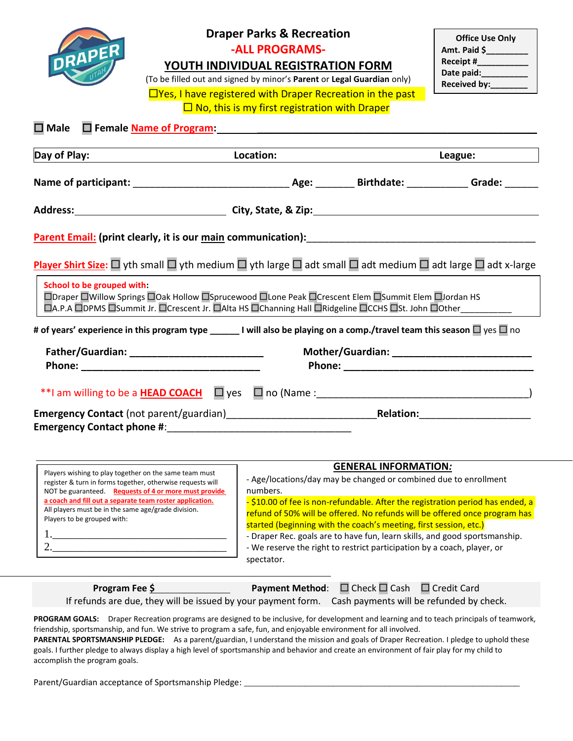

# **Draper Parks & Recreation**

**-ALL PROGRAMS-**

**YOUTH INDIVIDUAL REGISTRATION FORM**

(To be filled out and signed by minor's **Parent** or **Legal Guardian** only)

□Yes, I have registered with Draper Recreation in the past **Draper** 

**Office Use Only Amt. Paid \$\_\_\_\_\_\_\_\_\_ Receipt #\_\_\_\_\_\_\_\_\_\_\_** Date paid: **Received by:\_\_\_\_\_\_\_\_**

|  |  | $\Box$ No, this is my first registration with |  |
|--|--|-----------------------------------------------|--|
|  |  |                                               |  |

 $\Box$  Male  $\Box$  Female <u>Name of Program</u>:

| Day of Play:                                                                                                                                                                                                                        | Location: |                                               | League: <b>Example</b> |  |
|-------------------------------------------------------------------------------------------------------------------------------------------------------------------------------------------------------------------------------------|-----------|-----------------------------------------------|------------------------|--|
|                                                                                                                                                                                                                                     |           |                                               |                        |  |
| Address: <u>New York: City, State, &amp; Zip:</u> City, State, 2012.                                                                                                                                                                |           |                                               |                        |  |
|                                                                                                                                                                                                                                     |           |                                               |                        |  |
| Player Shirt Size: $\Box$ yth small $\Box$ yth medium $\Box$ yth large $\Box$ adt small $\Box$ adt medium $\Box$ adt large $\Box$ adt x-large                                                                                       |           |                                               |                        |  |
| School to be grouped with:<br>□Draper □Willow Springs □Oak Hollow □Sprucewood □Lone Peak □Crescent Elem □Summit Elem □Jordan HS<br>□A.P.A □DPMS □Summit Jr. □Crescent Jr. □Alta HS □Channing Hall □Ridgeline □CCHS □St. John □Other |           |                                               |                        |  |
| # of years' experience in this program type ______ I will also be playing on a comp./travel team this season $\Box$ yes $\Box$ no                                                                                                   |           |                                               |                        |  |
|                                                                                                                                                                                                                                     |           | Mother/Guardian: ____________________________ |                        |  |
|                                                                                                                                                                                                                                     |           |                                               |                        |  |
|                                                                                                                                                                                                                                     |           |                                               |                        |  |

| Players wishing to play together on the same team must                                                                                         | <b>GENERAL INFORMATION:</b>                                                                                                                                                                                                                                                                                                                                                                             |
|------------------------------------------------------------------------------------------------------------------------------------------------|---------------------------------------------------------------------------------------------------------------------------------------------------------------------------------------------------------------------------------------------------------------------------------------------------------------------------------------------------------------------------------------------------------|
| register & turn in forms together, otherwise requests will                                                                                     | - Age/locations/day may be changed or combined due to enrollment                                                                                                                                                                                                                                                                                                                                        |
| NOT be guaranteed. Requests of 4 or more must provide                                                                                          | numbers.                                                                                                                                                                                                                                                                                                                                                                                                |
| a coach and fill out a separate team roster application.<br>All players must be in the same age/grade division.<br>Players to be grouped with: | -\$10.00 of fee is non-refundable. After the registration period has ended, a<br>refund of 50% will be offered. No refunds will be offered once program has<br>started (beginning with the coach's meeting, first session, etc.)<br>- Draper Rec. goals are to have fun, learn skills, and good sportsmanship.<br>- We reserve the right to restrict participation by a coach, player, or<br>spectator. |

| Program Fee \$                                                                                         | <b>Payment Method:</b> $\Box$ Check $\Box$ Cash $\Box$ Credit Card |  |
|--------------------------------------------------------------------------------------------------------|--------------------------------------------------------------------|--|
| If refunds are due, they will be issued by your payment form. Cash payments will be refunded by check. |                                                                    |  |

**PROGRAM GOALS:** Draper Recreation programs are designed to be inclusive, for development and learning and to teach principals of teamwork, friendship, sportsmanship, and fun. We strive to program a safe, fun, and enjoyable environment for all involved. **PARENTAL SPORTSMANSHIP PLEDGE:** As a parent/guardian, I understand the mission and goals of Draper Recreation. I pledge to uphold these goals. I further pledge to always display a high level of sportsmanship and behavior and create an environment of fair play for my child to accomplish the program goals.

Parent/Guardian acceptance of Sportsmanship Pledge: \_